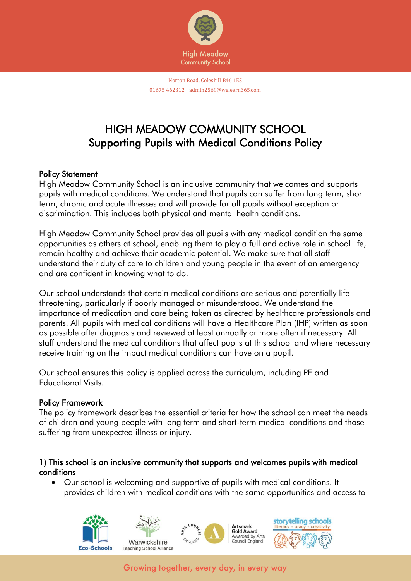

Norton Road, Coleshill B46 1ES 01675 462312 admin2569@welearn365.com

# HIGH MEADOW COMMUNITY SCHOOL Supporting Pupils with Medical Conditions Policy

#### Policy Statement

High Meadow Community School is an inclusive community that welcomes and supports pupils with medical conditions. We understand that pupils can suffer from long term, short term, chronic and acute illnesses and will provide for all pupils without exception or discrimination. This includes both physical and mental health conditions.

High Meadow Community School provides all pupils with any medical condition the same opportunities as others at school, enabling them to play a full and active role in school life, remain healthy and achieve their academic potential. We make sure that all staff understand their duty of care to children and young people in the event of an emergency and are confident in knowing what to do.

Our school understands that certain medical conditions are serious and potentially life threatening, particularly if poorly managed or misunderstood. We understand the importance of medication and care being taken as directed by healthcare professionals and parents. All pupils with medical conditions will have a Healthcare Plan (IHP) written as soon as possible after diagnosis and reviewed at least annually or more often if necessary. All staff understand the medical conditions that affect pupils at this school and where necessary receive training on the impact medical conditions can have on a pupil.

Our school ensures this policy is applied across the curriculum, including PE and Educational Visits.

#### Policy Framework

The policy framework describes the essential criteria for how the school can meet the needs of children and young people with long term and short-term medical conditions and those suffering from unexpected illness or injury.

#### 1) This school is an inclusive community that supports and welcomes pupils with medical conditions

• Our school is welcoming and supportive of pupils with medical conditions. It provides children with medical conditions with the same opportunities and access to

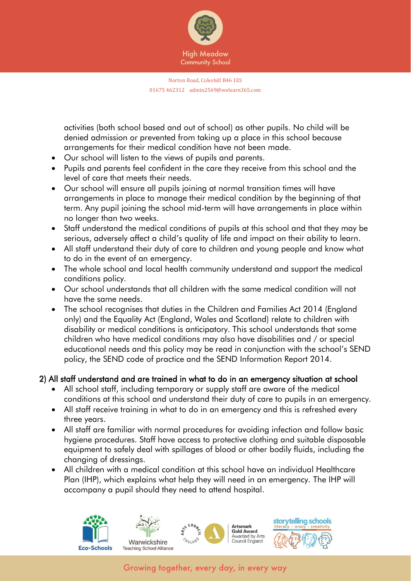

activities (both school based and out of school) as other pupils. No child will be denied admission or prevented from taking up a place in this school because arrangements for their medical condition have not been made.

- Our school will listen to the views of pupils and parents.
- Pupils and parents feel confident in the care they receive from this school and the level of care that meets their needs.
- Our school will ensure all pupils joining at normal transition times will have arrangements in place to manage their medical condition by the beginning of that term. Any pupil joining the school mid-term will have arrangements in place within no longer than two weeks.
- Staff understand the medical conditions of pupils at this school and that they may be serious, adversely affect a child's quality of life and impact on their ability to learn.
- All staff understand their duty of care to children and young people and know what to do in the event of an emergency.
- The whole school and local health community understand and support the medical conditions policy.
- Our school understands that all children with the same medical condition will not have the same needs.
- The school recognises that duties in the Children and Families Act 2014 (England only) and the Equality Act (England, Wales and Scotland) relate to children with disability or medical conditions is anticipatory. This school understands that some children who have medical conditions may also have disabilities and / or special educational needs and this policy may be read in conjunction with the school's SEND policy, the SEND code of practice and the SEND Information Report 2014.

### 2) All staff understand and are trained in what to do in an emergency situation at school

- All school staff, including temporary or supply staff are aware of the medical conditions at this school and understand their duty of care to pupils in an emergency.
- All staff receive training in what to do in an emergency and this is refreshed every three years.
- All staff are familiar with normal procedures for avoiding infection and follow basic hygiene procedures. Staff have access to protective clothing and suitable disposable equipment to safely deal with spillages of blood or other bodily fluids, including the changing of dressings.
- All children with a medical condition at this school have an individual Healthcare Plan (IHP), which explains what help they will need in an emergency. The IHP will accompany a pupil should they need to attend hospital.

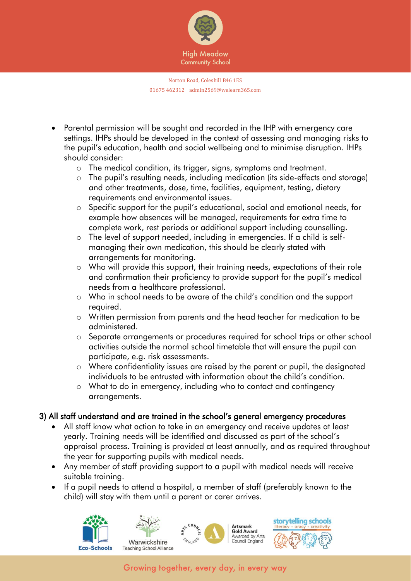

- Parental permission will be sought and recorded in the IHP with emergency care settings. IHPs should be developed in the context of assessing and managing risks to the pupil's education, health and social wellbeing and to minimise disruption. IHPs should consider:
	- o The medical condition, its trigger, signs, symptoms and treatment.
	- o The pupil's resulting needs, including medication (its side-effects and storage) and other treatments, dose, time, facilities, equipment, testing, dietary requirements and environmental issues.
	- o Specific support for the pupil's educational, social and emotional needs, for example how absences will be managed, requirements for extra time to complete work, rest periods or additional support including counselling.
	- o The level of support needed, including in emergencies. If a child is selfmanaging their own medication, this should be clearly stated with arrangements for monitoring.
	- o Who will provide this support, their training needs, expectations of their role and confirmation their proficiency to provide support for the pupil's medical needs from a healthcare professional.
	- o Who in school needs to be aware of the child's condition and the support required.
	- o Written permission from parents and the head teacher for medication to be administered.
	- o Separate arrangements or procedures required for school trips or other school activities outside the normal school timetable that will ensure the pupil can participate, e.g. risk assessments.
	- o Where confidentiality issues are raised by the parent or pupil, the designated individuals to be entrusted with information about the child's condition.
	- o What to do in emergency, including who to contact and contingency arrangements.

# 3) All staff understand and are trained in the school's general emergency procedures

- All staff know what action to take in an emergency and receive updates at least yearly. Training needs will be identified and discussed as part of the school's appraisal process. Training is provided at least annually, and as required throughout the year for supporting pupils with medical needs.
- Any member of staff providing support to a pupil with medical needs will receive suitable training.
- If a pupil needs to attend a hospital, a member of staff (preferably known to the child) will stay with them until a parent or carer arrives.







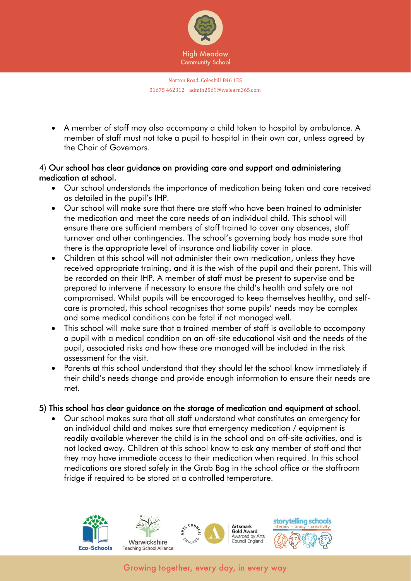

• A member of staff may also accompany a child taken to hospital by ambulance. A member of staff must not take a pupil to hospital in their own car, unless agreed by the Chair of Governors.

### 4) Our school has clear guidance on providing care and support and administering medication at school.

- Our school understands the importance of medication being taken and care received as detailed in the pupil's IHP.
- Our school will make sure that there are staff who have been trained to administer the medication and meet the care needs of an individual child. This school will ensure there are sufficient members of staff trained to cover any absences, staff turnover and other contingencies. The school's governing body has made sure that there is the appropriate level of insurance and liability cover in place.
- Children at this school will not administer their own medication, unless they have received appropriate training, and it is the wish of the pupil and their parent. This will be recorded on their IHP. A member of staff must be present to supervise and be prepared to intervene if necessary to ensure the child's health and safety are not compromised. Whilst pupils will be encouraged to keep themselves healthy, and selfcare is promoted, this school recognises that some pupils' needs may be complex and some medical conditions can be fatal if not managed well.
- This school will make sure that a trained member of staff is available to accompany a pupil with a medical condition on an off-site educational visit and the needs of the pupil, associated risks and how these are managed will be included in the risk assessment for the visit.
- Parents at this school understand that they should let the school know immediately if their child's needs change and provide enough information to ensure their needs are met.

# 5) This school has clear guidance on the storage of medication and equipment at school.

• Our school makes sure that all staff understand what constitutes an emergency for an individual child and makes sure that emergency medication / equipment is readily available wherever the child is in the school and on off-site activities, and is not locked away. Children at this school know to ask any member of staff and that they may have immediate access to their medication when required. In this school medications are stored safely in the Grab Bag in the school office or the staffroom fridge if required to be stored at a controlled temperature.

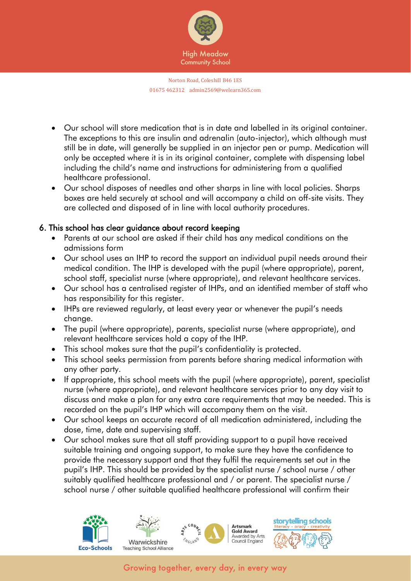

- Our school will store medication that is in date and labelled in its original container. The exceptions to this are insulin and adrenalin (auto-injector), which although must still be in date, will generally be supplied in an injector pen or pump. Medication will only be accepted where it is in its original container, complete with dispensing label including the child's name and instructions for administering from a qualified healthcare professional.
- Our school disposes of needles and other sharps in line with local policies. Sharps boxes are held securely at school and will accompany a child on off-site visits. They are collected and disposed of in line with local authority procedures.

# 6. This school has clear guidance about record keeping

- Parents at our school are asked if their child has any medical conditions on the admissions form
- Our school uses an IHP to record the support an individual pupil needs around their medical condition. The IHP is developed with the pupil (where appropriate), parent, school staff, specialist nurse (where appropriate), and relevant healthcare services.
- Our school has a centralised register of IHPs, and an identified member of staff who has responsibility for this register.
- IHPs are reviewed regularly, at least every year or whenever the pupil's needs change.
- The pupil (where appropriate), parents, specialist nurse (where appropriate), and relevant healthcare services hold a copy of the IHP.
- This school makes sure that the pupil's confidentiality is protected.
- This school seeks permission from parents before sharing medical information with any other party.
- If appropriate, this school meets with the pupil (where appropriate), parent, specialist nurse (where appropriate), and relevant healthcare services prior to any day visit to discuss and make a plan for any extra care requirements that may be needed. This is recorded on the pupil's IHP which will accompany them on the visit.
- Our school keeps an accurate record of all medication administered, including the dose, time, date and supervising staff.
- Our school makes sure that all staff providing support to a pupil have received suitable training and ongoing support, to make sure they have the confidence to provide the necessary support and that they fulfil the requirements set out in the pupil's IHP. This should be provided by the specialist nurse / school nurse / other suitably qualified healthcare professional and / or parent. The specialist nurse / school nurse / other suitable qualified healthcare professional will confirm their

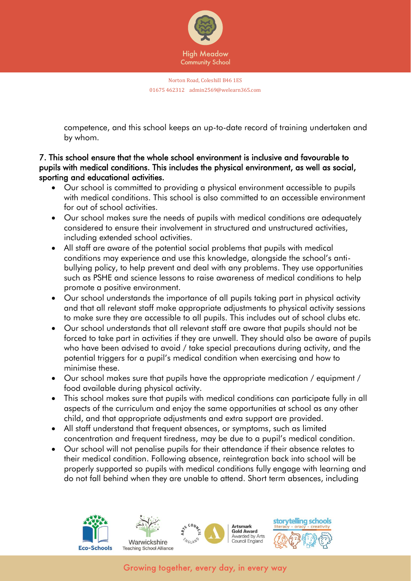

competence, and this school keeps an up-to-date record of training undertaken and by whom.

## 7. This school ensure that the whole school environment is inclusive and favourable to pupils with medical conditions. This includes the physical environment, as well as social, sporting and educational activities.

- Our school is committed to providing a physical environment accessible to pupils with medical conditions. This school is also committed to an accessible environment for out of school activities.
- Our school makes sure the needs of pupils with medical conditions are adequately considered to ensure their involvement in structured and unstructured activities, including extended school activities.
- All staff are aware of the potential social problems that pupils with medical conditions may experience and use this knowledge, alongside the school's antibullying policy, to help prevent and deal with any problems. They use opportunities such as PSHE and science lessons to raise awareness of medical conditions to help promote a positive environment.
- Our school understands the importance of all pupils taking part in physical activity and that all relevant staff make appropriate adjustments to physical activity sessions to make sure they are accessible to all pupils. This includes out of school clubs etc.
- Our school understands that all relevant staff are aware that pupils should not be forced to take part in activities if they are unwell. They should also be aware of pupils who have been advised to avoid / take special precautions during activity, and the potential triggers for a pupil's medical condition when exercising and how to minimise these.
- Our school makes sure that pupils have the appropriate medication / equipment / food available during physical activity.
- This school makes sure that pupils with medical conditions can participate fully in all aspects of the curriculum and enjoy the same opportunities at school as any other child, and that appropriate adjustments and extra support are provided.
- All staff understand that frequent absences, or symptoms, such as limited concentration and frequent tiredness, may be due to a pupil's medical condition.
- Our school will not penalise pupils for their attendance if their absence relates to their medical condition. Following absence, reintegration back into school will be properly supported so pupils with medical conditions fully engage with learning and do not fall behind when they are unable to attend. Short term absences, including

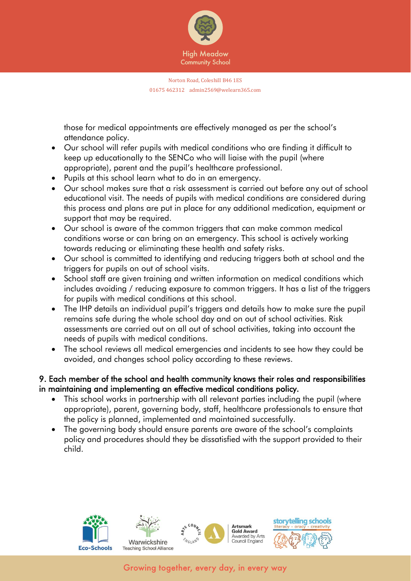

those for medical appointments are effectively managed as per the school's attendance policy.

- Our school will refer pupils with medical conditions who are finding it difficult to keep up educationally to the SENCo who will liaise with the pupil (where appropriate), parent and the pupil's healthcare professional.
- Pupils at this school learn what to do in an emergency.
- Our school makes sure that a risk assessment is carried out before any out of school educational visit. The needs of pupils with medical conditions are considered during this process and plans are put in place for any additional medication, equipment or support that may be required.
- Our school is aware of the common triggers that can make common medical conditions worse or can bring on an emergency. This school is actively working towards reducing or eliminating these health and safety risks.
- Our school is committed to identifying and reducing triggers both at school and the triggers for pupils on out of school visits.
- School staff are given training and written information on medical conditions which includes avoiding / reducing exposure to common triggers. It has a list of the triggers for pupils with medical conditions at this school.
- The IHP details an individual pupil's triggers and details how to make sure the pupil remains safe during the whole school day and on out of school activities. Risk assessments are carried out on all out of school activities, taking into account the needs of pupils with medical conditions.
- The school reviews all medical emergencies and incidents to see how they could be avoided, and changes school policy according to these reviews.

9. Each member of the school and health community knows their roles and responsibilities in maintaining and implementing an effective medical conditions policy.

- This school works in partnership with all relevant parties including the pupil (where appropriate), parent, governing body, staff, healthcare professionals to ensure that the policy is planned, implemented and maintained successfully.
- The governing body should ensure parents are aware of the school's complaints policy and procedures should they be dissatisfied with the support provided to their child.

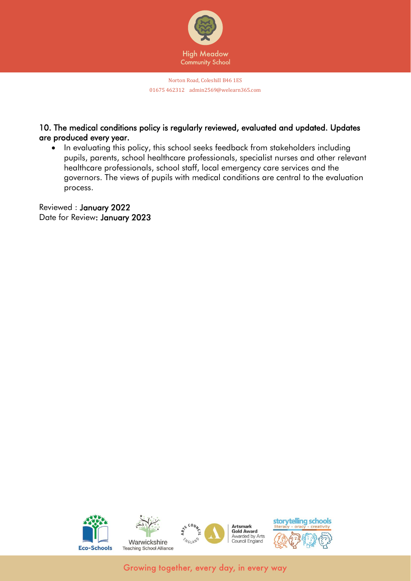

## 10. The medical conditions policy is regularly reviewed, evaluated and updated. Updates are produced every year.

• In evaluating this policy, this school seeks feedback from stakeholders including pupils, parents, school healthcare professionals, specialist nurses and other relevant healthcare professionals, school staff, local emergency care services and the governors. The views of pupils with medical conditions are central to the evaluation process.

Reviewed : January 2022 Date for Review: January 2023